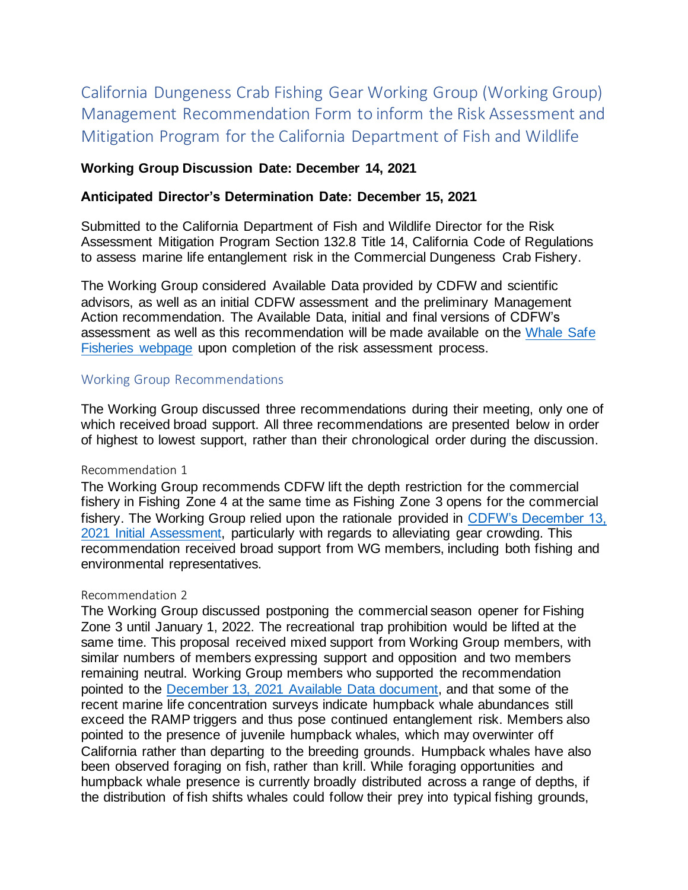California Dungeness Crab Fishing Gear Working Group (Working Group) Management Recommendation Form to inform the Risk Assessment and Mitigation Program for the California Department of Fish and Wildlife

# **Working Group Discussion Date: December 14, 2021**

### **Anticipated Director's Determination Date: December 15, 2021**

Submitted to the California Department of Fish and Wildlife Director for the Risk Assessment Mitigation Program Section 132.8 Title 14, California Code of Regulations to assess marine life entanglement risk in the Commercial Dungeness Crab Fishery.

The Working Group considered Available Data provided by CDFW and scientific advisors, as well as an initial CDFW assessment and the preliminary Management Action recommendation. The Available Data, initial and final versions of CDFW's assessment as well as this recommendation will be made available on the [Whale Safe](https://wildlife.ca.gov/Conservation/Marine/Whale-Safe-Fisheries)  [Fisheries webpage](https://wildlife.ca.gov/Conservation/Marine/Whale-Safe-Fisheries) upon completion of the risk assessment process.

### Working Group Recommendations

The Working Group discussed three recommendations during their meeting, only one of which received broad support. All three recommendations are presented below in order of highest to lowest support, rather than their chronological order during the discussion.

### Recommendation 1

The Working Group recommends CDFW lift the depth restriction for the commercial fishery in Fishing Zone 4 at the same time as Fishing Zone 3 opens for the commercial fishery. The Working Group relied upon the rationale provided in [CDFW's December 13,](https://nrm.dfg.ca.gov/FileHandler.ashx?DocumentID=195926&inline)  [2021 Initial Assessment,](https://nrm.dfg.ca.gov/FileHandler.ashx?DocumentID=195926&inline) particularly with regards to alleviating gear crowding. This recommendation received broad support from WG members, including both fishing and environmental representatives.

### Recommendation 2

The Working Group discussed postponing the commercial season opener for Fishing Zone 3 until January 1, 2022. The recreational trap prohibition would be lifted at the same time. This proposal received mixed support from Working Group members, with similar numbers of members expressing support and opposition and two members remaining neutral. Working Group members who supported the recommendation pointed to the [December 13, 2021 Available Data document,](https://nrm.dfg.ca.gov/FileHandler.ashx?DocumentID=195914&inline) and that some of the recent marine life concentration surveys indicate humpback whale abundances still exceed the RAMP triggers and thus pose continued entanglement risk. Members also pointed to the presence of juvenile humpback whales, which may overwinter off California rather than departing to the breeding grounds. Humpback whales have also been observed foraging on fish, rather than krill. While foraging opportunities and humpback whale presence is currently broadly distributed across a range of depths, if the distribution of fish shifts whales could follow their prey into typical fishing grounds,